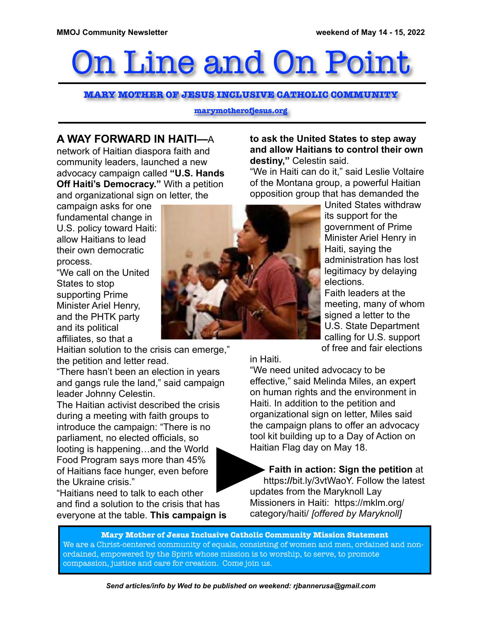# On Line and On Point

**MARY MOTHER OF JESUS INCLUSIVE CATHOLIC COMMUNITY**

**marymotherofjesus.org**

### **A WAY FORWARD IN HAITI—**A

network of Haitian diaspora faith and community leaders, launched a new advocacy campaign called **"U.S. Hands Off Haiti's Democracy."** With a petition and organizational sign on letter, the

campaign asks for one fundamental change in U.S. policy toward Haiti: allow Haitians to lead their own democratic process.

"We call on the United States to stop supporting Prime Minister Ariel Henry, and the PHTK party and its political affiliates, so that a

Haitian solution to the crisis can emerge," the petition and letter read.

"There hasn't been an election in years and gangs rule the land," said campaign leader Johnny Celestin.

The Haitian activist described the crisis during a meeting with faith groups to introduce the campaign: "There is no parliament, no elected officials, so looting is happening…and the World Food Program says more than 45% of Haitians face hunger, even before the Ukraine crisis."

"Haitians need to talk to each other and find a solution to the crisis that has everyone at the table. **This campaign is** 



**to ask the United States to step away and allow Haitians to control their own destiny,"** Celestin said.

"We in Haiti can do it," said Leslie Voltaire of the Montana group, a powerful Haitian opposition group that has demanded the

> United States withdraw its support for the government of Prime Minister Ariel Henry in Haiti, saying the administration has lost legitimacy by delaying elections. Faith leaders at the meeting, many of whom signed a letter to the U.S. State Department calling for U.S. support of free and fair elections

in Haiti.

"We need united advocacy to be effective," said Melinda Miles, an expert on human rights and the environment in Haiti. In addition to the petition and organizational sign on letter, Miles said the campaign plans to offer an advocacy tool kit building up to a Day of Action on Haitian Flag day on May 18.

**Faith in action: Sign the petition** at https**://**bit.ly/3vtWaoY. Follow the latest updates from the Maryknoll Lay Missioners in Haiti: https://mklm.org/ category/haiti/ *[offered by Maryknoll]*

**Mary Mother of Jesus Inclusive Catholic Community Mission Statement** We are a Christ-centered community of equals, consisting of women and men, ordained and nonordained, empowered by the Spirit whose mission is to worship, to serve, to promote compassion, justice and care for creation. Come join us.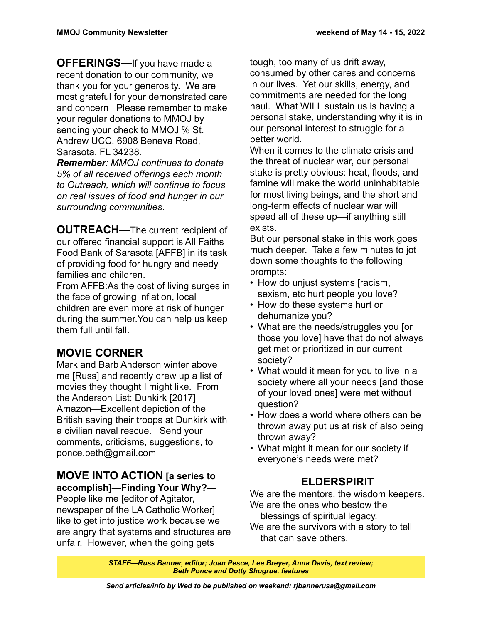**OFFERINGS—**If you have made a recent donation to our community, we thank you for your generosity. We are most grateful for your demonstrated care and concern Please remember to make your regular donations to MMOJ by sending your check to MMOJ % St. Andrew UCC, 6908 Beneva Road, Sarasota. FL 34238*.*

*Remember: MMOJ continues to donate 5% of all received offerings each month to Outreach, which will continue to focus on real issues of food and hunger in our surrounding communities*.

**OUTREACH—The current recipient of** our offered financial support is All Faiths Food Bank of Sarasota [AFFB] in its task of providing food for hungry and needy families and children.

From AFFB:As the cost of living surges in the face of growing inflation, local children are even more at risk of hunger during the summer.You can help us keep them full until fall.

## **MOVIE CORNER**

Mark and Barb Anderson winter above me [Russ] and recently drew up a list of movies they thought I might like. From the Anderson List: Dunkirk [2017] Amazon—Excellent depiction of the British saving their troops at Dunkirk with a civilian naval rescue. Send your comments, criticisms, suggestions, to ponce.beth@gmail.com

#### **MOVE INTO ACTION [a series to accomplish]—Finding Your Why?—**

People like me [editor of Agitator, newspaper of the LA Catholic Worker] like to get into justice work because we are angry that systems and structures are unfair. However, when the going gets

tough, too many of us drift away, consumed by other cares and concerns in our lives. Yet our skills, energy, and commitments are needed for the long haul. What WILL sustain us is having a personal stake, understanding why it is in our personal interest to struggle for a better world.

When it comes to the climate crisis and the threat of nuclear war, our personal stake is pretty obvious: heat, floods, and famine will make the world uninhabitable for most living beings, and the short and long-term effects of nuclear war will speed all of these up—if anything still exists.

But our personal stake in this work goes much deeper. Take a few minutes to jot down some thoughts to the following prompts:

- How do unjust systems [racism, sexism, etc hurt people you love?
- How do these systems hurt or dehumanize you?
- What are the needs/struggles you [or those you love] have that do not always get met or prioritized in our current society?
- What would it mean for you to live in a society where all your needs [and those of your loved ones] were met without question?
- How does a world where others can be thrown away put us at risk of also being thrown away?
- What might it mean for our society if everyone's needs were met?

## **ELDERSPIRIT**

We are the mentors, the wisdom keepers. We are the ones who bestow the blessings of spiritual legacy.

We are the survivors with a story to tell that can save others.

*STAFF—Russ Banner, editor; Joan Pesce, Lee Breyer, Anna Davis, text review; Beth Ponce and Dotty Shugrue, features*